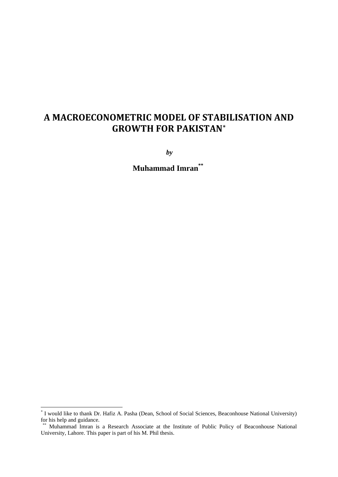# **A MACROECONOMETRIC MODEL OF STABILISATION AND GROWTH FOR PAKISTAN[\\*](#page-0-0)**

*by*

**Muhammad Imran\*\*[†](#page-0-1)**

<u>.</u>

<span id="page-0-0"></span><sup>\*</sup> I would like to thank Dr. Hafiz A. Pasha (Dean, School of Social Sciences, Beaconhouse National University) for his help and guidance.

<span id="page-0-1"></span><sup>†\*\*</sup> Muhammad Imran is a Research Associate at the Institute of Public Policy of Beaconhouse National University, Lahore. This paper is part of his M. Phil thesis.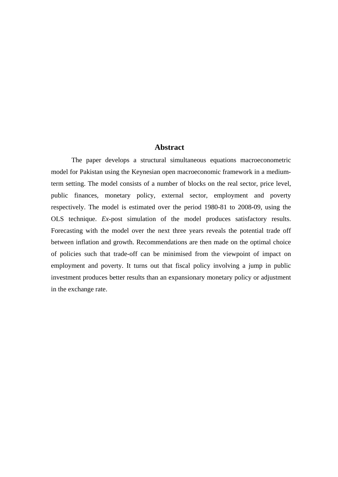# **Abstract**

The paper develops a structural simultaneous equations macroeconometric model for Pakistan using the Keynesian open macroeconomic framework in a mediumterm setting. The model consists of a number of blocks on the real sector, price level, public finances, monetary policy, external sector, employment and poverty respectively. The model is estimated over the period 1980-81 to 2008-09, using the OLS technique. *Ex-*post simulation of the model produces satisfactory results. Forecasting with the model over the next three years reveals the potential trade off between inflation and growth. Recommendations are then made on the optimal choice of policies such that trade-off can be minimised from the viewpoint of impact on employment and poverty. It turns out that fiscal policy involving a jump in public investment produces better results than an expansionary monetary policy or adjustment in the exchange rate.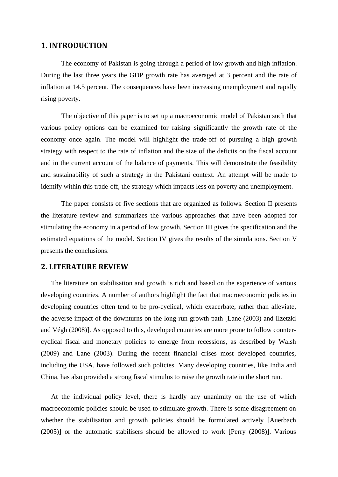# **1. INTRODUCTION**

The economy of Pakistan is going through a period of low growth and high inflation. During the last three years the GDP growth rate has averaged at 3 percent and the rate of inflation at 14.5 percent. The consequences have been increasing unemployment and rapidly rising poverty.

The objective of this paper is to set up a macroeconomic model of Pakistan such that various policy options can be examined for raising significantly the growth rate of the economy once again. The model will highlight the trade-off of pursuing a high growth strategy with respect to the rate of inflation and the size of the deficits on the fiscal account and in the current account of the balance of payments. This will demonstrate the feasibility and sustainability of such a strategy in the Pakistani context. An attempt will be made to identify within this trade-off, the strategy which impacts less on poverty and unemployment.

The paper consists of five sections that are organized as follows. Section II presents the literature review and summarizes the various approaches that have been adopted for stimulating the economy in a period of low growth. Section III gives the specification and the estimated equations of the model. Section IV gives the results of the simulations. Section V presents the conclusions.

# **2. LITERATURE REVIEW**

The literature on stabilisation and growth is rich and based on the experience of various developing countries. A number of authors highlight the fact that macroeconomic policies in developing countries often tend to be pro-cyclical, which exacerbate, rather than alleviate, the adverse impact of the downturns on the long-run growth path [Lane (2003) and Ilzetzki and Végh (2008)]. As opposed to this, developed countries are more prone to follow countercyclical fiscal and monetary policies to emerge from recessions, as described by Walsh (2009) and Lane (2003). During the recent financial crises most developed countries, including the USA, have followed such policies. Many developing countries, like India and China, has also provided a strong fiscal stimulus to raise the growth rate in the short run.

At the individual policy level, there is hardly any unanimity on the use of which macroeconomic policies should be used to stimulate growth. There is some disagreement on whether the stabilisation and growth policies should be formulated actively [Auerbach (2005)] or the automatic stabilisers should be allowed to work [Perry (2008)]. Various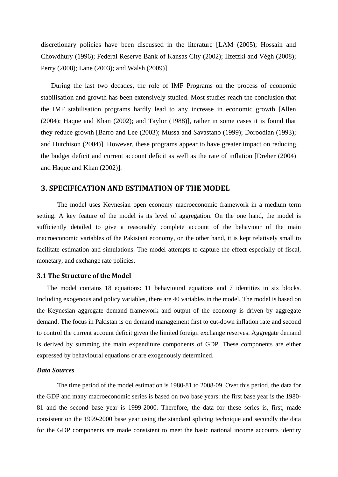discretionary policies have been discussed in the literature [LAM (2005); Hossain and Chowdhury (1996); Federal Reserve Bank of Kansas City (2002); Ilzetzki and Végh (2008); Perry (2008); Lane (2003); and Walsh (2009)].

During the last two decades, the role of IMF Programs on the process of economic stabilisation and growth has been extensively studied. Most studies reach the conclusion that the IMF stabilisation programs hardly lead to any increase in economic growth [Allen (2004); Haque and Khan (2002); and Taylor (1988)], rather in some cases it is found that they reduce growth [Barro and Lee (2003); Mussa and Savastano (1999); Doroodian (1993); and Hutchison (2004)]. However, these programs appear to have greater impact on reducing the budget deficit and current account deficit as well as the rate of inflation [Dreher (2004) and Haque and Khan (2002)].

# **3. SPECIFICATION AND ESTIMATION OF THE MODEL**

The model uses Keynesian open economy macroeconomic framework in a medium term setting. A key feature of the model is its level of aggregation. On the one hand, the model is sufficiently detailed to give a reasonably complete account of the behaviour of the main macroeconomic variables of the Pakistani economy, on the other hand, it is kept relatively small to facilitate estimation and simulations. The model attempts to capture the effect especially of fiscal, monetary, and exchange rate policies.

### **3.1 The Structure of the Model**

The model contains 18 equations: 11 behavioural equations and 7 identities in six blocks. Including exogenous and policy variables, there are 40 variables in the model. The model is based on the Keynesian aggregate demand framework and output of the economy is driven by aggregate demand. The focus in Pakistan is on demand management first to cut-down inflation rate and second to control the current account deficit given the limited foreign exchange reserves. Aggregate demand is derived by summing the main expenditure components of GDP. These components are either expressed by behavioural equations or are exogenously determined.

#### *Data Sources*

The time period of the model estimation is 1980-81 to 2008-09. Over this period, the data for the GDP and many macroeconomic series is based on two base years: the first base year is the 1980- 81 and the second base year is 1999-2000. Therefore, the data for these series is, first, made consistent on the 1999-2000 base year using the standard splicing technique and secondly the data for the GDP components are made consistent to meet the basic national income accounts identity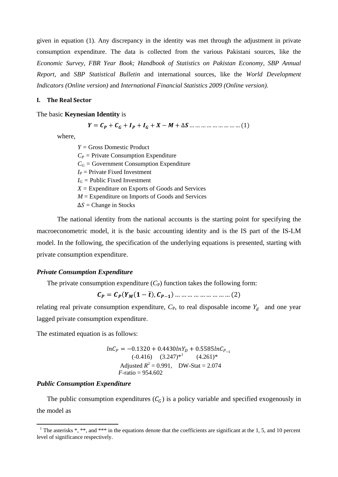given in equation (1). Any discrepancy in the identity was met through the adjustment in private consumption expenditure. The data is collected from the various Pakistani sources, like the *Economic Survey, FBR Year Book; Handbook of Statistics on Pakistan Economy, SBP Annual Report,* and *SBP Statistical Bulletin* and international sources, like the *World Development Indicators (Online version)* and *International Financial Statistics 2009 (Online version).*

#### **I. The Real Sector**

#### The basic **Keynesian Identity** is

= + + + + − + ∆ … … … … … … … … … (1)

where,

*Y =* Gross Domestic Product  $C_P$  = Private Consumption Expenditure  $C_G$  = Government Consumption Expenditure  $I_P$  = Private Fixed Investment  $I_G$  = Public Fixed Investment *X =* Expenditure on Exports of Goods and Services *M* = Expenditure on Imports of Goods and Services  $\Delta S$  = Change in Stocks

The national identity from the national accounts is the starting point for specifying the macroeconometric model, it is the basic accounting identity and is the IS part of the IS-LM model. In the following, the specification of the underlying equations is presented, starting with private consumption expenditure.

#### *Private Consumption Expenditure*

The private consumption expenditure  $(C_P)$  function takes the following form:

$$
C_P = C_P(Y_M(1-\bar{t}), C_{P-1}) \dots \dots \dots \dots \dots \dots \dots \dots \dots (2)
$$

relating real private consumption expenditure,  $C_{P}$ , to real disposable income  $Y_d$  and one year lagged private consumption expenditure.

The estimated equation is as follows:

$$
lnC_P = -0.1320 + 0.4430lnY_D + 0.5585lnC_{P_{-1}}
$$
  
\n
$$
(-0.416) (3.247)^{*1} (4.261)^{*}
$$
  
\n
$$
Required R^2 = 0.991, DW-Stat = 2.074
$$
  
\n
$$
F\text{-ratio} = 954.602
$$

#### *Public Consumption Expenditure*

The public consumption expenditures  $(C_G)$  is a policy variable and specified exogenously in the model as

<span id="page-4-0"></span><sup>&</sup>lt;sup>1</sup> The asterisks  $*, **$ , and  $***$  in the equations denote that the coefficients are significant at the 1, 5, and 10 percent level of significance respectively.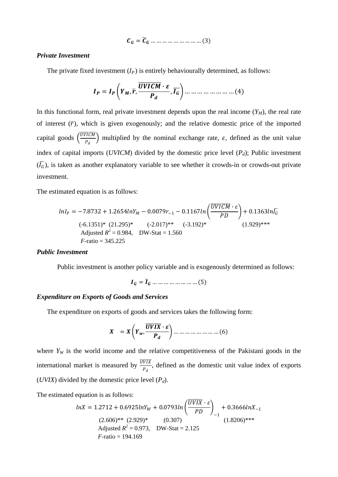$$
\mathcal{C}_G = \overline{\mathcal{C}}_G \dots \dots \dots \dots \dots \dots \dots \dots \dots (3)
$$

## **Private Investment**

The private fixed investment  $(I_P)$  is entirely behaviourally determined, as follows:

In this functional form, real private investment depends upon the real income  $(Y_M)$ , the real rate of interest  $(\bar{r})$ , which is given exogenously; and the relative domestic price of the imported capital goods  $\left(\frac{\overline{UVICM}}{P_A}\right)$  multiplied by the nominal exchange rate,  $\varepsilon$ , defined as the unit value index of capital imports (UVICM) divided by the domestic price level  $(P_d)$ ; Public investment  $(\overline{I_G})$ , is taken as another explanatory variable to see whether it crowds-in or crowds-out private investment.

The estimated equation is as follows:

$$
lnI_P = -7.8732 + 1.2654lnY_M - 0.0079r_{-1} - 0.1167ln\left(\frac{UVICM \cdot \varepsilon}{PD}\right) + 0.1363ln\overline{I_G}
$$
  
\n(-6.1351)\* (21.295)\* (-2.017)\*\* (-3.192)\*  
\nAdjusted  $R^2 = 0.984$ , DW-Stat = 1.560  
\n*F*-ratio = 345.225

#### **Public Investment**

Public investment is another policy variable and is exogenously determined as follows:

 $I_G = \overline{I}_G$  ... ... ... ... ... ... ... (5)

# **Expenditure on Exports of Goods and Services**

The expenditure on exports of goods and services takes the following form:

where  $Y_W$  is the world income and the relative competitiveness of the Pakistani goods in the international market is measured by  $\frac{\overline{UVIX}}{P_d}$ , defined as the domestic unit value index of exports (*UVIX*) divided by the domestic price level  $(P_d)$ .

The estimated equation is as follows:

$$
lnX = 1.2712 + 0.6925lnY_W + 0.0793ln\left(\frac{UVIX \cdot \varepsilon}{PD}\right)_{-1} + 0.3666lnX_{-1}
$$
  
(2.606)\*\* (2.929)\* (0.307)  
Adjusted  $R^2 = 0.973$ , DW-Stat = 2.125  
*F*-ratio = 194.169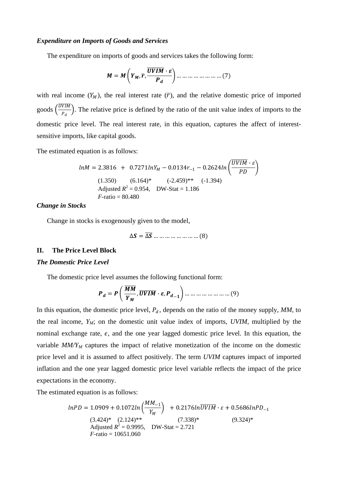## *Expenditure on Imports of Goods and Services*

The expenditure on imports of goods and services takes the following form:

$$
M = M\left(Y_M, \overline{r}, \frac{\overline{UVIM} \cdot \varepsilon}{P_d}\right) \dots \dots \dots \dots \dots \dots \dots \dots \dots (7)
$$

with real income  $(Y_M)$ , the real interest rate  $(\bar{r})$ , and the relative domestic price of imported goods  $\left(\frac{UVIM}{P_A}\right)$  $\frac{\nu_{\text{tot}}}{P_d}$ ). The relative price is defined by the ratio of the unit value index of imports to the domestic price level. The real interest rate, in this equation, captures the affect of interestsensitive imports, like capital goods.

The estimated equation is as follows:

$$
lnM = 2.3816 + 0.7271lnY_M - 0.0134r_{-1} - 0.2624ln\left(\frac{UVIM \cdot \varepsilon}{PD}\right)
$$
  
(1.350) (6.164)\* (-2.459)\*\* (-1.394)  
Adjusted  $R^2 = 0.954$ , DW-Stat = 1.186  
*F*-ratio = 80.480

## *Change in Stocks*

Change in stocks is exogenously given to the model,

$$
\Delta S = \overline{\Delta S} \dots \dots \dots \dots \dots \dots \dots (8)
$$

#### **II. The Price Level Block**

#### *The Domestic Price Level*

The domestic price level assumes the following functional form:

$$
\boldsymbol{P}_d = \boldsymbol{P}\left(\frac{\overline{MM}}{Y_M}, \overline{UVIM} \cdot \boldsymbol{\varepsilon}, \boldsymbol{P}_{d-1}\right) \dots \dots \dots \dots \dots \dots \dots \dots (9)
$$

In this equation, the domestic price level,  $P_d$ , depends on the ratio of the money supply,  $MM$ , to the real income,  $Y_M$ ; on the domestic unit value index of imports,  $UVIM$ , multiplied by the nominal exchange rate,  $\epsilon$ , and the one year lagged domestic price level. In this equation, the variable  $MM/Y_M$  captures the impact of relative monetization of the income on the domestic price level and it is assumed to affect positively. The term *UVIM* captures impact of imported inflation and the one year lagged domestic price level variable reflects the impact of the price expectations in the economy.

The estimated equation is as follows:

$$
lnPD = 1.0909 + 0.1072ln\left(\frac{MM_{-1}}{Y_M}\right) + 0.2176ln\overline{UVIM} \cdot \varepsilon + 0.5686lnPD_{-1}
$$
  
(3.424)\* (2.124)\*\*(7.338)\*  
Adjusted  $R^2 = 0.9995$ , DW-Stat = 2.721  
*F*-ratio = 10651.060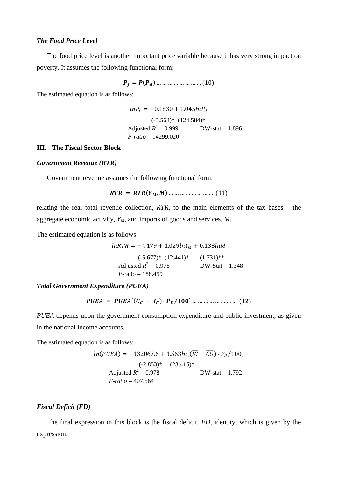# *The Food Price Level*

The food price level is another important price variable because it has very strong impact on poverty. It assumes the following functional form:

$$
P_f = P(P_d) \dots \dots \dots \dots \dots \dots \dots (10)
$$

The estimated equation is as follows:

$$
lnP_f = -0.1830 + 1.045lnP_d
$$
  
(-5.568)\* (124.584)\*  
Adjusted  $R^2 = 0.999$  DW-stat = 1.896  
*F*-ratio = 14299.020

# **III. The Fiscal Sector Block**

#### *Government Revenue (RTR)*

Government revenue assumes the following functional form:

= (, ) … … … … … … … … (11)

relating the real total revenue collection, *RTR*, to the main elements of the tax bases – the aggregate economic activity, *YM*, and imports of goods and services, *M*.

The estimated equation is as follows:

$$
lnRTR = -4.179 + 1.029lnY_M + 0.138lnM
$$
  
\n
$$
(-5.677)^* (12.441)^* \qquad (1.731)^{**}
$$
  
\n
$$
ext{adjusted } R^2 = 0.978
$$
  
\n
$$
F\text{-ratio} = 188.459
$$

*Total Government Expenditure (PUEA)*

= [( ���� + ���) ∙ ⁄] … … … … … … … … (12)

*PUEA* depends upon the government consumption expenditure and public investment, as given in the national income accounts.

The estimated equation is as follows:

$$
ln(PUEA) = -132067.6 + 1.563ln[(\overline{IG} + \overline{CG}) \cdot P_D/100]
$$
  
\n(-2.853)\* (23.415)\*  
\nAdjusted  $R^2 = 0.978$  DW-stat = 1.792  
\n*F*-ratio = 407.564

#### *Fiscal Deficit (FD)*

The final expression in this block is the fiscal deficit, *FD*, identity, which is given by the expression;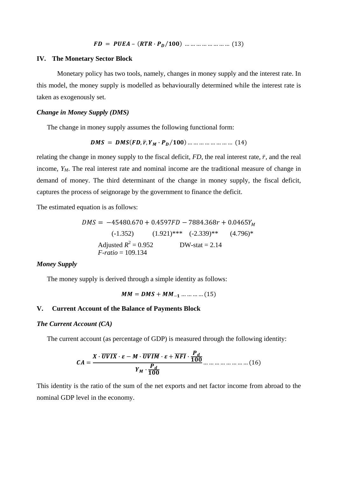#### **IV. The Monetary Sector Block**

Monetary policy has two tools, namely, changes in money supply and the interest rate. In this model, the money supply is modelled as behaviourally determined while the interest rate is taken as exogenously set.

#### *Change in Money Supply (DMS)*

The change in money supply assumes the following functional form:

$$
DMS = DMS(FD, \bar{r}, Y_M \cdot P_D/100) \dots \dots \dots \dots \dots \dots \dots \dots \dots (14)
$$

relating the change in money supply to the fiscal deficit,  $FD$ , the real interest rate,  $\bar{r}$ , and the real income,  $Y_M$ . The real interest rate and nominal income are the traditional measure of change in demand of money. The third determinant of the change in money supply, the fiscal deficit, captures the process of seignorage by the government to finance the deficit.

The estimated equation is as follows:

$$
DMS = -45480.670 + 0.4597FD - 7884.368r + 0.0465Y_M
$$
  
\n
$$
(-1.352) \qquad (1.921)*** \quad (-2.339)** \quad (4.796)*
$$
  
\nAdjusted  $R^2 = 0.952$  \qquad DW-stat = 2.14  
\n*F*-ratio = 109.134

# *Money Supply*

The money supply is derived through a simple identity as follows:

$$
MM = DMS + MM_{-1} \dots \dots \dots \dots (15)
$$

# **V. Current Account of the Balance of Payments Block**

# *The Current Account (CA)*

The current account (as percentage of GDP) is measured through the following identity:

$$
CA = \frac{X \cdot \overline{UVIX} \cdot \varepsilon - M \cdot \overline{UVIM} \cdot \varepsilon + \overline{NFI} \cdot \frac{P_d}{100}}{Y_M \cdot \frac{P_d}{100}} \dots \dots \dots \dots \dots \dots \dots \dots (16)
$$

This identity is the ratio of the sum of the net exports and net factor income from abroad to the nominal GDP level in the economy.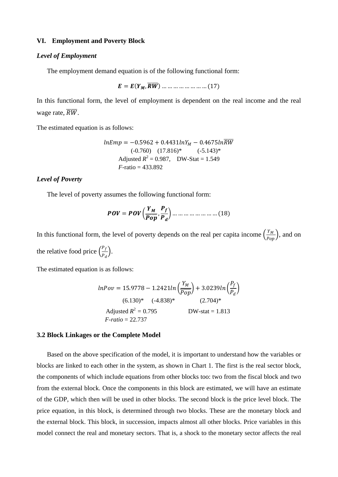# **VI. Employment and Poverty Block**

#### *Level of Employment*

The employment demand equation is of the following functional form:

 $E = E(Y_M, \overline{RW})$  … … … … … … … … (17)

In this functional form, the level of employment is dependent on the real income and the real wage rate,  $\overline{RW}$ .

The estimated equation is as follows:

$$
lnEmp = -0.5962 + 0.4431lnY_M - 0.4675lnRW
$$
  
(-0.760) (17.816)\* (-5.143)\*  
Adjusted  $R^2 = 0.987$ , DW-Stat = 1.549  
*F*-ratio = 433.892

# *Level of Poverty*

The level of poverty assumes the following functional form:

$$
POV = POV \left(\frac{Y_M}{Pop}, \frac{P_f}{P_d}\right) \dots \dots \dots \dots \dots \dots \dots \dots \dots \dots \dots \dots \tag{18}
$$

In this functional form, the level of poverty depends on the real per capita income  $\left(\frac{Y_M}{P_{op}}\right)$ , and on the relative food price  $\left(\frac{P_f}{P_d}\right)$  $\frac{f}{P_d}$ .

The estimated equation is as follows:

$$
lnPov = 15.9778 - 1.2421ln\left(\frac{Y_M}{\overline{Pop}}\right) + 3.0239ln\left(\frac{P_f}{P_d}\right)
$$
  
(6.130)\* (-4.838)\* (2.704)\*  
Adjusted  $R^2 = 0.795$  DW-stat = 1.813  
*F*-ratio = 22.737

#### **3.2 Block Linkages or the Complete Model**

Based on the above specification of the model, it is important to understand how the variables or blocks are linked to each other in the system, as shown in Chart 1. The first is the real sector block, the components of which include equations from other blocks too: two from the fiscal block and two from the external block. Once the components in this block are estimated, we will have an estimate of the GDP, which then will be used in other blocks. The second block is the price level block. The price equation, in this block, is determined through two blocks. These are the monetary block and the external block. This block, in succession, impacts almost all other blocks. Price variables in this model connect the real and monetary sectors. That is, a shock to the monetary sector affects the real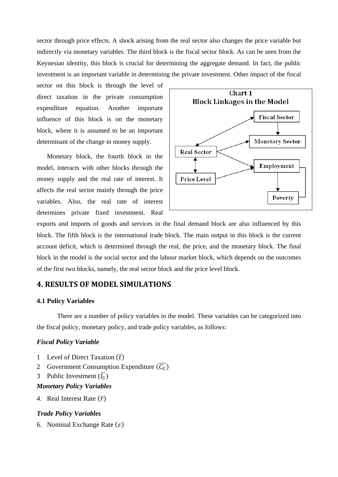sector through price effects. A shock arising from the real sector also changes the price variable but indirectly via monetary variables. The third block is the fiscal sector block. As can be seen from the Keynesian identity, this block is crucial for determining the aggregate demand. In fact, the public investment is an important variable in determining the private investment. Other impact of the fiscal

sector on this block is through the level of direct taxation in the private consumption expenditure equation. Another important influence of this block is on the monetary block, where it is assumed to be an important determinant of the change in money supply.

Monetary block, the fourth block in the model, interacts with other blocks through the money supply and the real rate of interest. It affects the real sector mainly through the price variables. Also, the real rate of interest determines private fixed investment. Real



exports and imports of goods and services in the final demand block are also influenced by this block. The fifth block is the international trade block. The main output in this block is the current account deficit, which is determined through the real, the price, and the monetary block. The final block in the model is the social sector and the labour market block, which depends on the outcomes of the first two blocks, namely, the real sector block and the price level block.

# **4. RESULTS OF MODEL SIMULATIONS**

## **4.1 Policy Variables**

There are a number of policy variables in the model. These variables can be categorized into the fiscal policy, monetary policy, and trade policy variables, as follows:

# *Fiscal Policy Variable*

- 1 Level of Direct Taxation  $(\bar{t})$
- 2 Government Consumption Expenditure  $(\overline{C_G})$
- 3 Public Investment  $(\bar{l}_G)$

# *Monetary Policy Variables*

4. Real Interest Rate  $(\bar{r})$ 

# *Trade Policy Variables*

6. Nominal Exchange Rate  $(\varepsilon)$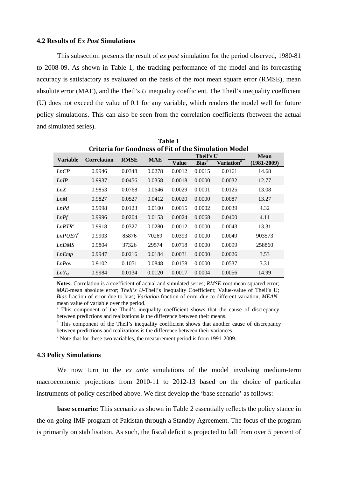# **4.2 Results of** *Ex Post* **Simulations**

This subsection presents the result of *ex post* simulation for the period observed, 1980-81 to 2008-09. As shown in Table 1, the tracking performance of the model and its forecasting accuracy is satisfactory as evaluated on the basis of the root mean square error (RMSE), mean absolute error (MAE), and the Theil's *U* inequality coefficient. The Theil's inequality coefficient (U) does not exceed the value of 0.1 for any variable, which renders the model well for future policy simulations. This can also be seen from the correlation coefficients (between the actual and simulated series).

**Table 1** 

| rabie 1                                                     |                    |             |            |        |             |                        |                 |  |  |  |  |  |  |
|-------------------------------------------------------------|--------------------|-------------|------------|--------|-------------|------------------------|-----------------|--|--|--|--|--|--|
| <b>Criteria for Goodness of Fit of the Simulation Model</b> |                    |             |            |        |             |                        |                 |  |  |  |  |  |  |
| <b>Variable</b>                                             | <b>Correlation</b> | <b>RMSE</b> | <b>MAE</b> |        | <b>Mean</b> |                        |                 |  |  |  |  |  |  |
|                                                             |                    |             |            | Value  | $Bias^a$    | Variation <sup>b</sup> | $(1981 - 2009)$ |  |  |  |  |  |  |
| LnCP                                                        | 0.9946             | 0.0348      | 0.0278     | 0.0012 | 0.0015      | 0.0161                 | 14.68           |  |  |  |  |  |  |
| LnIP                                                        | 0.9937             | 0.0456      | 0.0358     | 0.0018 | 0.0000      | 0.0032                 | 12.77           |  |  |  |  |  |  |
| LnX                                                         | 0.9853             | 0.0768      | 0.0646     | 0.0029 | 0.0001      | 0.0125                 | 13.08           |  |  |  |  |  |  |
| LnM                                                         | 0.9827             | 0.0527      | 0.0412     | 0.0020 | 0.0000      | 0.0087                 | 13.27           |  |  |  |  |  |  |
| LnPd                                                        | 0.9998             | 0.0123      | 0.0100     | 0.0015 | 0.0002      | 0.0039                 | 4.32            |  |  |  |  |  |  |
| LnPf                                                        | 0.9996             | 0.0204      | 0.0153     | 0.0024 | 0.0068      | 0.0400                 | 4.11            |  |  |  |  |  |  |
| LnRTR <sup>c</sup>                                          | 0.9918             | 0.0327      | 0.0280     | 0.0012 | 0.0000      | 0.0043                 | 13.31           |  |  |  |  |  |  |
| $Ln$ PUEA <sup>c</sup>                                      | 0.9903             | 85876       | 70269      | 0.0393 | 0.0000      | 0.0049                 | 903573          |  |  |  |  |  |  |
| <b>LnDMS</b>                                                | 0.9804             | 37326       | 29574      | 0.0718 | 0.0000      | 0.0099                 | 258860          |  |  |  |  |  |  |
| LnEmp                                                       | 0.9947             | 0.0216      | 0.0184     | 0.0031 | 0.0000      | 0.0026                 | 3.53            |  |  |  |  |  |  |
| LnPov                                                       | 0.9102             | 0.1051      | 0.0848     | 0.0158 | 0.0000      | 0.0537                 | 3.31            |  |  |  |  |  |  |
| $LnY_M$                                                     | 0.9984             | 0.0134      | 0.0120     | 0.0017 | 0.0004      | 0.0056                 | 14.99           |  |  |  |  |  |  |

**Notes:** Correlation is a coefficient of actual and simulated series; *RMSE-*root mean squared error; *MAE*-mean absolute error; *Theil's U*-Theil's Inequality Coefficient; Value-value of Theil's U; *Bias*-fraction of error due to bias; *Variation*-fraction of error due to different variation; *MEAN*mean value of variable over the period.

*<sup>a</sup>* This component of the Theil's inequality coefficient shows that the cause of discrepancy between predictions and realizations is the difference between their means.

<sup>*b*</sup> This component of the Theil's inequality coefficient shows that another cause of discrepancy between predictions and realizations is the difference between their variances.

 $c^c$  Note that for these two variables, the measurement period is from 1991-2009.

## **4.3 Policy Simulations**

We now turn to the *ex ante* simulations of the model involving medium-term macroeconomic projections from 2010-11 to 2012-13 based on the choice of particular instruments of policy described above. We first develop the 'base scenario' as follows:

**base scenario:** This scenario as shown in Table 2 essentially reflects the policy stance in the on-going IMF program of Pakistan through a Standby Agreement. The focus of the program is primarily on stabilisation. As such, the fiscal deficit is projected to fall from over 5 percent of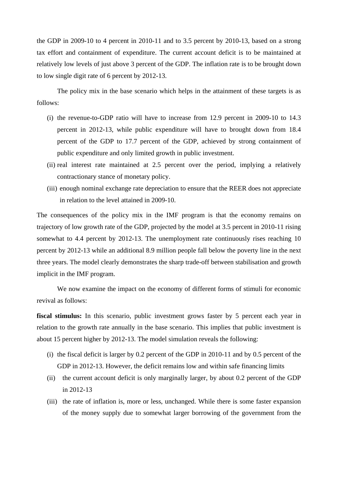the GDP in 2009-10 to 4 percent in 2010-11 and to 3.5 percent by 2010-13, based on a strong tax effort and containment of expenditure. The current account deficit is to be maintained at relatively low levels of just above 3 percent of the GDP. The inflation rate is to be brought down to low single digit rate of 6 percent by 2012-13.

The policy mix in the base scenario which helps in the attainment of these targets is as follows:

- (i) the revenue-to-GDP ratio will have to increase from 12.9 percent in 2009-10 to 14.3 percent in 2012-13, while public expenditure will have to brought down from 18.4 percent of the GDP to 17.7 percent of the GDP, achieved by strong containment of public expenditure and only limited growth in public investment.
- (ii) real interest rate maintained at 2.5 percent over the period, implying a relatively contractionary stance of monetary policy.
- (iii) enough nominal exchange rate depreciation to ensure that the REER does not appreciate in relation to the level attained in 2009-10.

The consequences of the policy mix in the IMF program is that the economy remains on trajectory of low growth rate of the GDP, projected by the model at 3.5 percent in 2010-11 rising somewhat to 4.4 percent by 2012-13. The unemployment rate continuously rises reaching 10 percent by 2012-13 while an additional 8.9 million people fall below the poverty line in the next three years. The model clearly demonstrates the sharp trade-off between stabilisation and growth implicit in the IMF program.

We now examine the impact on the economy of different forms of stimuli for economic revival as follows:

**fiscal stimulus:** In this scenario, public investment grows faster by 5 percent each year in relation to the growth rate annually in the base scenario. This implies that public investment is about 15 percent higher by 2012-13. The model simulation reveals the following:

- (i) the fiscal deficit is larger by 0.2 percent of the GDP in 2010-11 and by 0.5 percent of the GDP in 2012-13. However, the deficit remains low and within safe financing limits
- (ii) the current account deficit is only marginally larger, by about 0.2 percent of the GDP in 2012-13
- (iii) the rate of inflation is, more or less, unchanged. While there is some faster expansion of the money supply due to somewhat larger borrowing of the government from the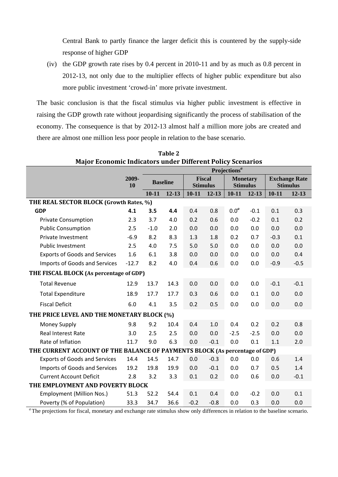Central Bank to partly finance the larger deficit this is countered by the supply-side response of higher GDP

(iv) the GDP growth rate rises by 0.4 percent in 2010-11 and by as much as 0.8 percent in 2012-13, not only due to the multiplier effects of higher public expenditure but also more public investment 'crowd-in' more private investment.

The basic conclusion is that the fiscal stimulus via higher public investment is effective in raising the GDP growth rate without jeopardising significantly the process of stabilisation of the economy. The consequence is that by 2012-13 almost half a million more jobs are created and there are almost one million less poor people in relation to the base scenario.

|                                                                             | requesting indicators ander plucient r oney becharios<br>Projections <sup>a</sup> |                 |           |                                  |           |                                    |           |                                         |           |  |  |
|-----------------------------------------------------------------------------|-----------------------------------------------------------------------------------|-----------------|-----------|----------------------------------|-----------|------------------------------------|-----------|-----------------------------------------|-----------|--|--|
|                                                                             | 2009-<br>10                                                                       | <b>Baseline</b> |           | <b>Fiscal</b><br><b>Stimulus</b> |           | <b>Monetary</b><br><b>Stimulus</b> |           | <b>Exchange Rate</b><br><b>Stimulus</b> |           |  |  |
|                                                                             |                                                                                   | $10 - 11$       | $12 - 13$ | $10 - 11$                        | $12 - 13$ | $10 - 11$                          | $12 - 13$ | $10 - 11$                               | $12 - 13$ |  |  |
| THE REAL SECTOR BLOCK (Growth Rates, %)                                     |                                                                                   |                 |           |                                  |           |                                    |           |                                         |           |  |  |
| <b>GDP</b>                                                                  | 4.1                                                                               | 3.5             | 4.4       | 0.4                              | 0.8       | 0.0 <sup>a</sup>                   | $-0.1$    | 0.1                                     | 0.3       |  |  |
| <b>Private Consumption</b>                                                  | 2.3                                                                               | 3.7             | 4.0       | 0.2                              | 0.6       | 0.0                                | $-0.2$    | 0.1                                     | 0.2       |  |  |
| <b>Public Consumption</b>                                                   | 2.5                                                                               | $-1.0$          | 2.0       | 0.0                              | 0.0       | 0.0                                | 0.0       | 0.0                                     | 0.0       |  |  |
| Private Investment                                                          | $-6.9$                                                                            | 8.2             | 8.3       | 1.3                              | 1.8       | 0.2                                | 0.7       | $-0.3$                                  | 0.1       |  |  |
| <b>Public Investment</b>                                                    | 2.5                                                                               | 4.0             | 7.5       | 5.0                              | 5.0       | 0.0                                | 0.0       | 0.0                                     | 0.0       |  |  |
| <b>Exports of Goods and Services</b>                                        | 1.6                                                                               | 6.1             | 3.8       | 0.0                              | 0.0       | 0.0                                | 0.0       | 0.0                                     | 0.4       |  |  |
| Imports of Goods and Services                                               | $-12.7$                                                                           | 8.2             | 4.0       | 0.4                              | 0.6       | 0.0                                | 0.0       | $-0.9$                                  | $-0.5$    |  |  |
| THE FISCAL BLOCK (As percentage of GDP)                                     |                                                                                   |                 |           |                                  |           |                                    |           |                                         |           |  |  |
| <b>Total Revenue</b>                                                        | 12.9                                                                              | 13.7            | 14.3      | 0.0                              | 0.0       | 0.0                                | 0.0       | $-0.1$                                  | $-0.1$    |  |  |
| <b>Total Expenditure</b>                                                    | 18.9                                                                              | 17.7            | 17.7      | 0.3                              | 0.6       | 0.0                                | 0.1       | 0.0                                     | 0.0       |  |  |
| <b>Fiscal Deficit</b>                                                       | 6.0                                                                               | 4.1             | 3.5       | 0.2                              | 0.5       | 0.0                                | 0.0       | 0.0                                     | 0.0       |  |  |
| THE PRICE LEVEL AND THE MONETARY BLOCK (%)                                  |                                                                                   |                 |           |                                  |           |                                    |           |                                         |           |  |  |
| <b>Money Supply</b>                                                         | 9.8                                                                               | 9.2             | 10.4      | 0.4                              | 1.0       | 0.4                                | 0.2       | 0.2                                     | 0.8       |  |  |
| Real Interest Rate                                                          | 3.0                                                                               | 2.5             | 2.5       | 0.0                              | 0.0       | $-2.5$                             | $-2.5$    | 0.0                                     | 0.0       |  |  |
| Rate of Inflation                                                           | 11.7                                                                              | 9.0             | 6.3       | 0.0                              | $-0.1$    | 0.0                                | 0.1       | 1.1                                     | 2.0       |  |  |
| THE CURRENT ACCOUNT OF THE BALANCE OF PAYMENTS BLOCK (As percentage of GDP) |                                                                                   |                 |           |                                  |           |                                    |           |                                         |           |  |  |
| <b>Exports of Goods and Services</b>                                        | 14.4                                                                              | 14.5            | 14.7      | 0.0                              | $-0.3$    | 0.0                                | 0.0       | 0.6                                     | 1.4       |  |  |
| Imports of Goods and Services                                               | 19.2                                                                              | 19.8            | 19.9      | 0.0                              | $-0.1$    | 0.0                                | 0.7       | 0.5                                     | 1.4       |  |  |
| <b>Current Account Deficit</b>                                              | 2.8                                                                               | 3.2             | 3.3       | 0.1                              | 0.2       | 0.0                                | 0.6       | 0.0                                     | $-0.1$    |  |  |
| THE EMPLOYMENT AND POVERTY BLOCK                                            |                                                                                   |                 |           |                                  |           |                                    |           |                                         |           |  |  |
| <b>Employment (Million Nos.)</b>                                            | 51.3                                                                              | 52.2            | 54.4      | 0.1                              | 0.4       | 0.0                                | $-0.2$    | 0.0                                     | 0.1       |  |  |
| Poverty (% of Population)                                                   | 33.3                                                                              | 34.7            | 36.6      | $-0.2$                           | $-0.8$    | 0.0                                | 0.3       | 0.0                                     | 0.0       |  |  |

**Table 2 Major Economic Indicators under Different Policy Scenarios**

*<sup>a</sup>* The projections for fiscal, monetary and exchange rate stimulus show only differences in relation to the baseline scenario.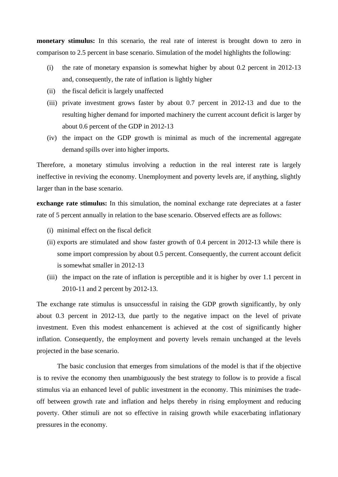**monetary stimulus:** In this scenario, the real rate of interest is brought down to zero in comparison to 2.5 percent in base scenario. Simulation of the model highlights the following:

- (i) the rate of monetary expansion is somewhat higher by about 0.2 percent in 2012-13 and, consequently, the rate of inflation is lightly higher
- (ii) the fiscal deficit is largely unaffected
- (iii) private investment grows faster by about 0.7 percent in 2012-13 and due to the resulting higher demand for imported machinery the current account deficit is larger by about 0.6 percent of the GDP in 2012-13
- (iv) the impact on the GDP growth is minimal as much of the incremental aggregate demand spills over into higher imports.

Therefore, a monetary stimulus involving a reduction in the real interest rate is largely ineffective in reviving the economy. Unemployment and poverty levels are, if anything, slightly larger than in the base scenario.

**exchange rate stimulus:** In this simulation, the nominal exchange rate depreciates at a faster rate of 5 percent annually in relation to the base scenario. Observed effects are as follows:

- (i) minimal effect on the fiscal deficit
- (ii) exports are stimulated and show faster growth of 0.4 percent in 2012-13 while there is some import compression by about 0.5 percent. Consequently, the current account deficit is somewhat smaller in 2012-13
- (iii) the impact on the rate of inflation is perceptible and it is higher by over 1.1 percent in 2010-11 and 2 percent by 2012-13.

The exchange rate stimulus is unsuccessful in raising the GDP growth significantly, by only about 0.3 percent in 2012-13, due partly to the negative impact on the level of private investment. Even this modest enhancement is achieved at the cost of significantly higher inflation. Consequently, the employment and poverty levels remain unchanged at the levels projected in the base scenario.

The basic conclusion that emerges from simulations of the model is that if the objective is to revive the economy then unambiguously the best strategy to follow is to provide a fiscal stimulus via an enhanced level of public investment in the economy. This minimises the tradeoff between growth rate and inflation and helps thereby in rising employment and reducing poverty. Other stimuli are not so effective in raising growth while exacerbating inflationary pressures in the economy.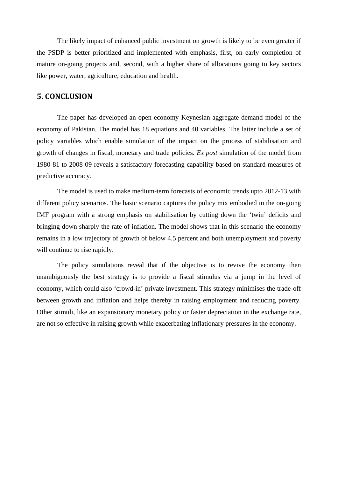The likely impact of enhanced public investment on growth is likely to be even greater if the PSDP is better prioritized and implemented with emphasis, first, on early completion of mature on-going projects and, second, with a higher share of allocations going to key sectors like power, water, agriculture, education and health.

# **5. CONCLUSION**

The paper has developed an open economy Keynesian aggregate demand model of the economy of Pakistan. The model has 18 equations and 40 variables. The latter include a set of policy variables which enable simulation of the impact on the process of stabilisation and growth of changes in fiscal, monetary and trade policies. *Ex post* simulation of the model from 1980-81 to 2008-09 reveals a satisfactory forecasting capability based on standard measures of predictive accuracy.

The model is used to make medium-term forecasts of economic trends upto 2012-13 with different policy scenarios. The basic scenario captures the policy mix embodied in the on-going IMF program with a strong emphasis on stabilisation by cutting down the 'twin' deficits and bringing down sharply the rate of inflation. The model shows that in this scenario the economy remains in a low trajectory of growth of below 4.5 percent and both unemployment and poverty will continue to rise rapidly.

The policy simulations reveal that if the objective is to revive the economy then unambiguously the best strategy is to provide a fiscal stimulus via a jump in the level of economy, which could also 'crowd-in' private investment. This strategy minimises the trade-off between growth and inflation and helps thereby in raising employment and reducing poverty. Other stimuli, like an expansionary monetary policy or faster depreciation in the exchange rate, are not so effective in raising growth while exacerbating inflationary pressures in the economy.